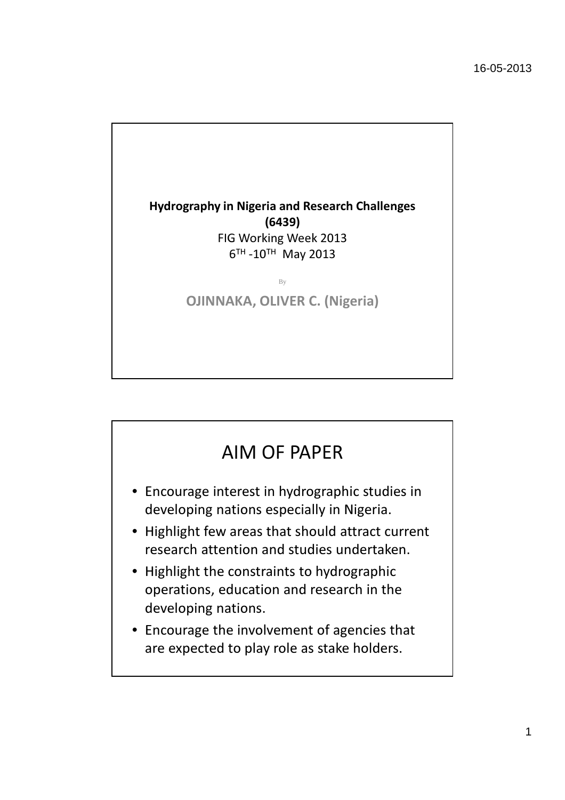

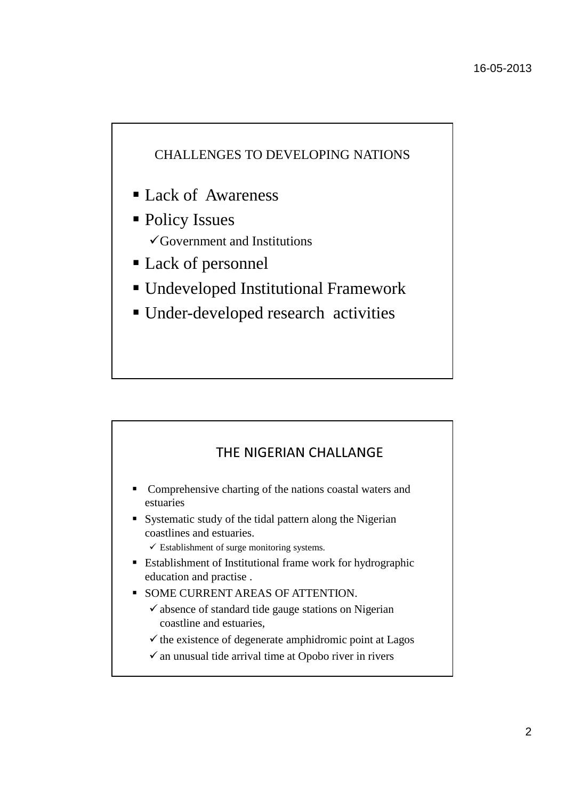### CHALLENGES TO DEVELOPING NATIONS

- Lack of Awareness
- Policy Issues Government and Institutions
- Lack of personnel
- Undeveloped Institutional Framework
- Under-developed research activities

# THE NIGERIAN CHALLANGE

- **Comprehensive charting of the nations coastal waters and** estuaries
- Systematic study of the tidal pattern along the Nigerian coastlines and estuaries.
	- $\checkmark$  Establishment of surge monitoring systems.
- **Establishment of Institutional frame work for hydrographic** education and practise .
- **SOME CURRENT AREAS OF ATTENTION.** 
	- -absence of standard tide gauge stations on Nigerian coastline and estuaries,
	- $\checkmark$  the existence of degenerate amphidromic point at Lagos
	- -an unusual tide arrival time at Opobo river in rivers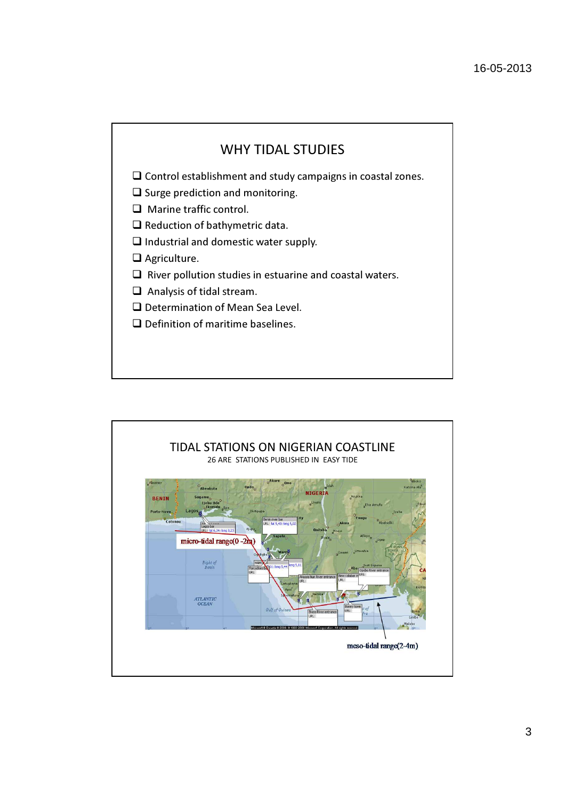## WHY TIDAL STUDIES

 $\square$  Control establishment and study campaigns in coastal zones.

- $\Box$  Surge prediction and monitoring.
- □ Marine traffic control.
- $\Box$  Reduction of bathymetric data.
- $\Box$  Industrial and domestic water supply.
- □ Agriculture.
- $\square$  River pollution studies in estuarine and coastal waters.
- $\Box$  Analysis of tidal stream.
- □ Determination of Mean Sea Level.
- $\Box$  Definition of maritime baselines.

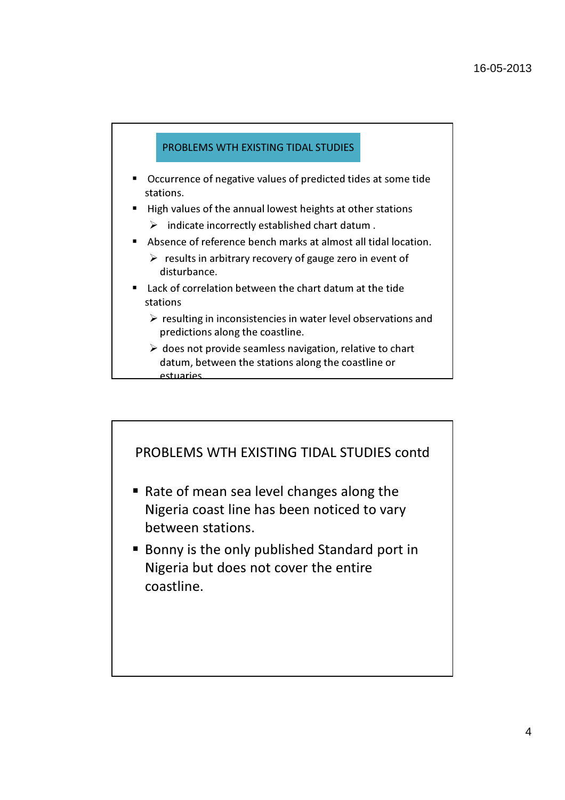### PROBLEMS WTH EXISTING TIDAL STUDIES

- Occurrence of negative values of predicted tides at some tide stations.
- High values of the annual lowest heights at other stations
	- $\triangleright$  indicate incorrectly established chart datum .
- Absence of reference bench marks at almost all tidal location.
	- $\triangleright$  results in arbitrary recovery of gauge zero in event of disturbance.
- Lack of correlation between the chart datum at the tide stations
	- $\triangleright$  resulting in inconsistencies in water level observations and predictions along the coastline.
	- $\triangleright$  does not provide seamless navigation, relative to chart datum, between the stations along the coastline or estuaries.

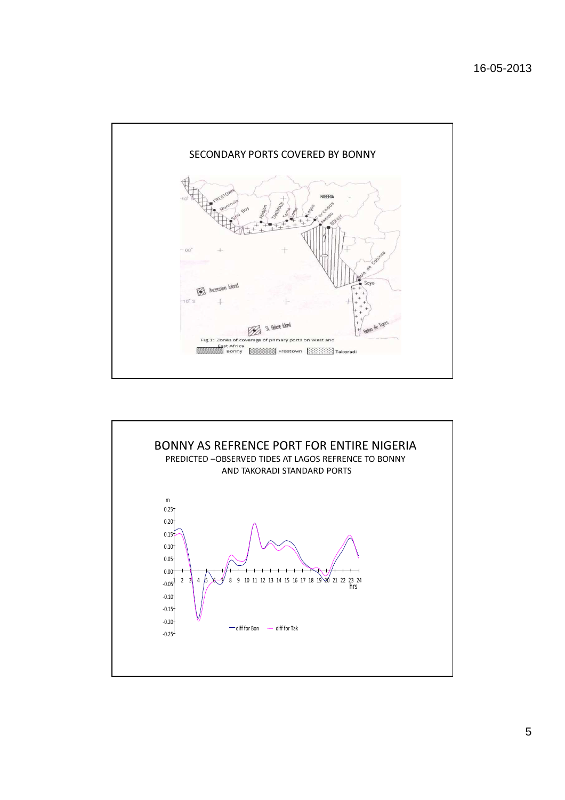

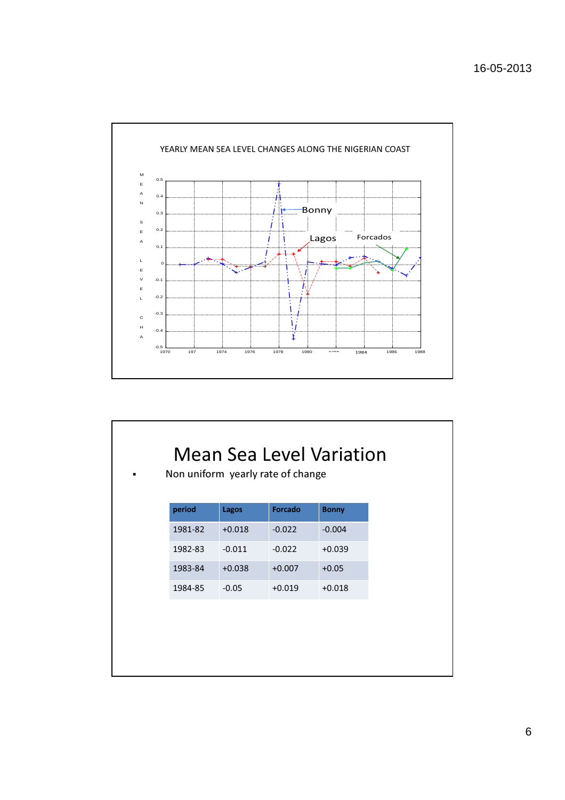

| Non uniform yearly rate of change           | <b>Mean Sea Level Variation</b> |
|---------------------------------------------|---------------------------------|
| Forcado<br>period<br>Lagos<br><b>Bonny</b>  |                                 |
| 1981-82<br>$+0.018$<br>$-0.022$<br>$-0.004$ |                                 |
| $-0.011$<br>$-0.022$<br>$+0.039$<br>1982-83 |                                 |
| 1983-84<br>$+0.038$<br>$+0.007$<br>$+0.05$  |                                 |
| 1984-85<br>$-0.05$<br>$+0.019$<br>$+0.018$  |                                 |
|                                             |                                 |
|                                             |                                 |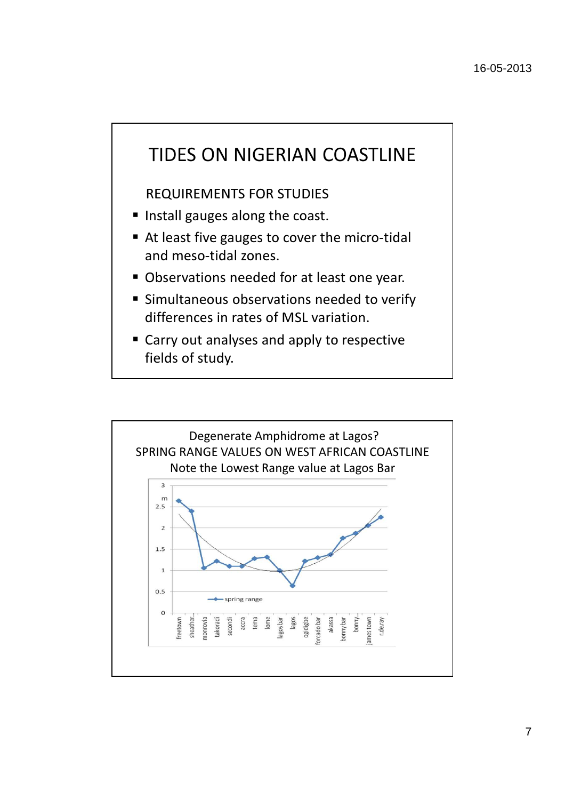

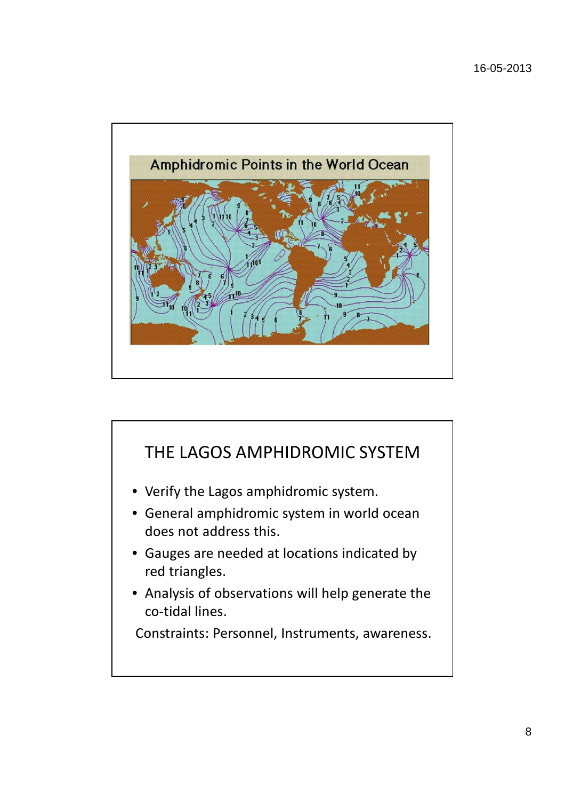

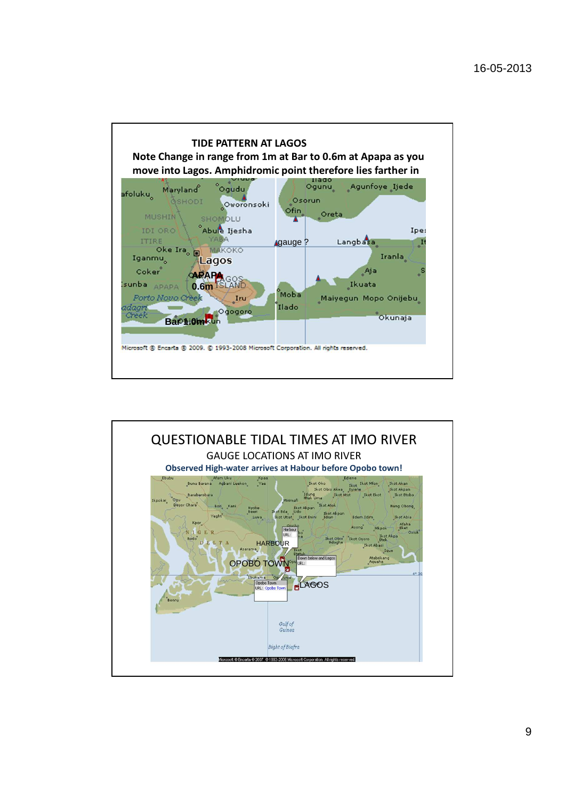

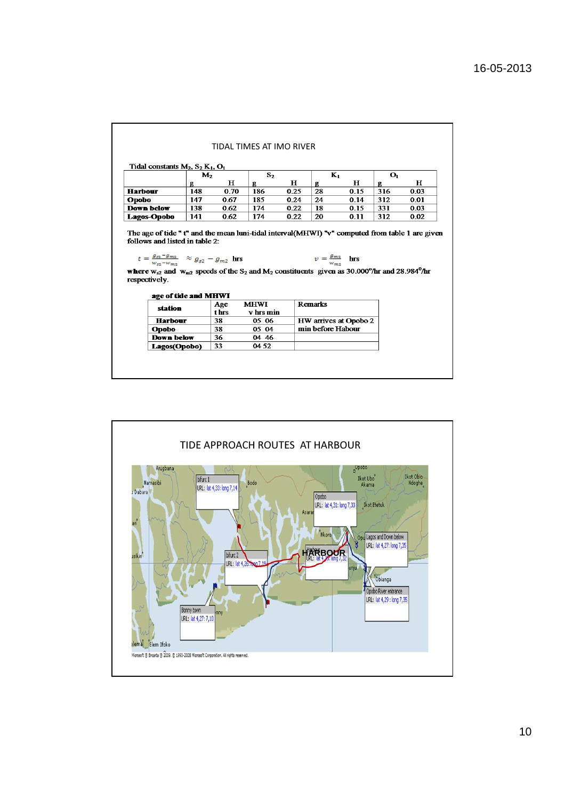|                                                                                                                                                                                                                                                                                                 |                |       | TIDAI TIMES AT IMO RIVER |      |                                 |                       |     |                |  |
|-------------------------------------------------------------------------------------------------------------------------------------------------------------------------------------------------------------------------------------------------------------------------------------------------|----------------|-------|--------------------------|------|---------------------------------|-----------------------|-----|----------------|--|
| Tidal constants $M_2$ , $S_2 K_1$ , $O_1$                                                                                                                                                                                                                                                       |                |       |                          |      |                                 |                       |     |                |  |
|                                                                                                                                                                                                                                                                                                 | M <sub>2</sub> |       | S <sub>2</sub>           |      |                                 | $K_1$                 |     | $\mathbf{o}_1$ |  |
|                                                                                                                                                                                                                                                                                                 | g              | н     | g                        | н    | g                               | н                     | g   | н              |  |
| <b>Harbour</b>                                                                                                                                                                                                                                                                                  | 148            | 0.70  | 186                      | 0.25 | 28                              | 0.15                  | 316 | 0.03           |  |
| Opobo                                                                                                                                                                                                                                                                                           | 147            | 0.67  | 185                      | 0.24 | 24                              | 0.14                  | 312 | 0.01           |  |
| <b>Down below</b>                                                                                                                                                                                                                                                                               | 138            | 0.62  | 174                      | 0.22 | 18                              | 0.15                  | 331 | 0.03           |  |
| Lagos-Opobo                                                                                                                                                                                                                                                                                     | 141            | 0.62  | 174                      | 0.22 | 20                              | 0.11                  | 312 | 0.02           |  |
|                                                                                                                                                                                                                                                                                                 |                |       |                          |      | $v = \frac{g_{m2}}{w_{m2}}$ hrs |                       |     |                |  |
| $t = \frac{g_{s2} - g_{m2}}{w_{s2} - w_{m2}}$ $\approx g_{s2} - g_{m2}$ hrs                                                                                                                                                                                                                     |                |       |                          |      |                                 |                       |     |                |  |
| age of tide and MHWI                                                                                                                                                                                                                                                                            |                |       |                          |      |                                 |                       |     |                |  |
|                                                                                                                                                                                                                                                                                                 |                | Age   | <b>MHWI</b>              |      | <b>Remarks</b>                  |                       |     |                |  |
| station                                                                                                                                                                                                                                                                                         |                | t hrs | v hrs min                |      |                                 |                       |     |                |  |
| <b>Harbour</b>                                                                                                                                                                                                                                                                                  |                | 38    | 05 06                    |      |                                 | HW arrives at Opobo 2 |     |                |  |
| <b>Opobo</b>                                                                                                                                                                                                                                                                                    |                | 38    | 05 04                    |      | min before Habour               |                       |     |                |  |
| The age of tide " t" and the mean luni-tidal interval(MHWI) "v" computed from table 1 are given<br>follows and listed in table 2:<br>where $w_{s2}$ and $w_{m2}$ speeds of the S <sub>2</sub> and M <sub>2</sub> constituents given as 30.000°/hr and 28.984°/hr<br>respectively.<br>Down below |                | 36    | 04 46                    |      |                                 |                       |     |                |  |

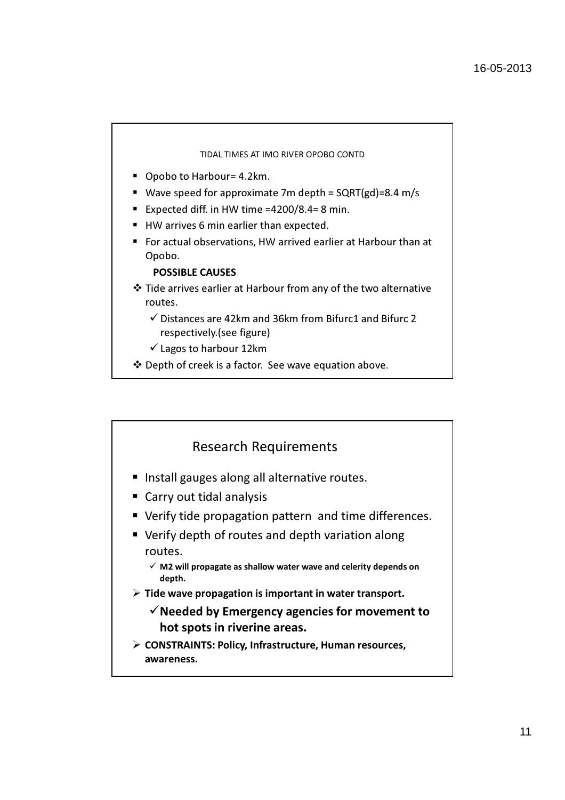#### TIDAL TIMES AT IMO RIVER OPOBO CONTD

- Opobo to Harbour= 4.2km.
- Wave speed for approximate 7m depth =  $SQRT(gd) = 8.4$  m/s
- Expected diff. in HW time =4200/8.4= 8 min.
- HW arrives 6 min earlier than expected.
- For actual observations, HW arrived earlier at Harbour than at Opobo.

### POSSIBLE CAUSES

- Tide arrives earlier at Harbour from any of the two alternative routes.
	- -Distances are 42km and 36km from Bifurc1 and Bifurc 2 respectively.(see figure)
	- -Lagos to harbour 12km
- Depth of creek is a factor. See wave equation above.

### Research Requirements

- Install gauges along all alternative routes.
- **Carry out tidal analysis**
- Verify tide propagation pattern and time differences.
- **•** Verify depth of routes and depth variation along routes.
	- $\checkmark$  M2 will propagate as shallow water wave and celerity depends on depth.
- $\triangleright$  Tide wave propagation is important in water transport.
	- $\checkmark$  Needed by Emergency agencies for movement to hot spots in riverine areas.
- $\triangleright$  CONSTRAINTS: Policy, Infrastructure, Human resources, awareness.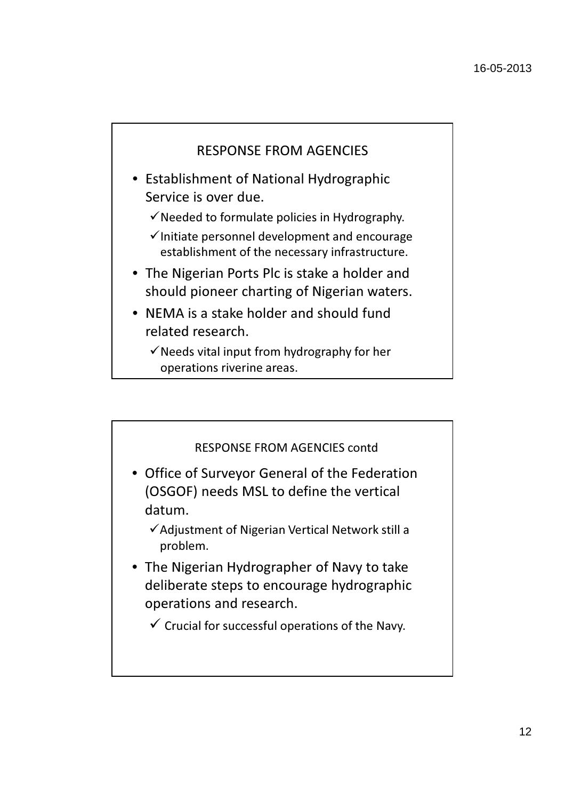

• Establishment of National Hydrographic Service is over due.

 $\checkmark$  Needed to formulate policies in Hydrography.

- $\checkmark$  Initiate personnel development and encourage establishment of the necessary infrastructure.
- The Nigerian Ports Plc is stake a holder and should pioneer charting of Nigerian waters.
- NEMA is a stake holder and should fund related research.
	- $\checkmark$  Needs vital input from hydrography for her operations riverine areas.